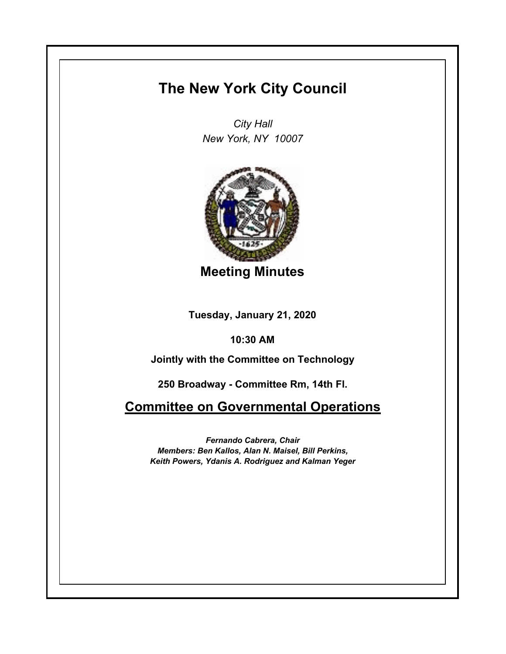## **The New York City Council**

*City Hall New York, NY 10007*



**Meeting Minutes**

**Tuesday, January 21, 2020**

**10:30 AM**

**Jointly with the Committee on Technology**

**250 Broadway - Committee Rm, 14th Fl.**

**Committee on Governmental Operations**

*Fernando Cabrera, Chair Members: Ben Kallos, Alan N. Maisel, Bill Perkins, Keith Powers, Ydanis A. Rodriguez and Kalman Yeger*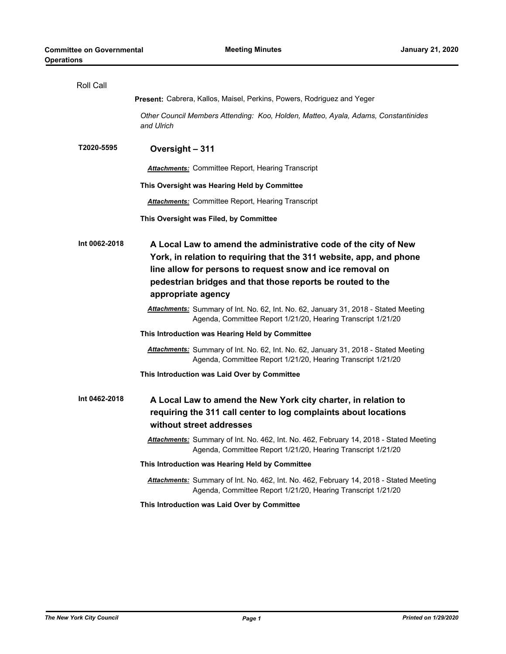| Roll Call     |                                                                                                                                                                                                                                                                                         |
|---------------|-----------------------------------------------------------------------------------------------------------------------------------------------------------------------------------------------------------------------------------------------------------------------------------------|
|               | <b>Present:</b> Cabrera, Kallos, Maisel, Perkins, Powers, Rodriguez and Yeger                                                                                                                                                                                                           |
|               | Other Council Members Attending: Koo, Holden, Matteo, Ayala, Adams, Constantinides<br>and Ulrich                                                                                                                                                                                        |
| T2020-5595    | Oversight - 311                                                                                                                                                                                                                                                                         |
|               | <b>Attachments:</b> Committee Report, Hearing Transcript                                                                                                                                                                                                                                |
|               | This Oversight was Hearing Held by Committee                                                                                                                                                                                                                                            |
|               | <b>Attachments:</b> Committee Report, Hearing Transcript                                                                                                                                                                                                                                |
|               | This Oversight was Filed, by Committee                                                                                                                                                                                                                                                  |
| Int 0062-2018 | A Local Law to amend the administrative code of the city of New<br>York, in relation to requiring that the 311 website, app, and phone<br>line allow for persons to request snow and ice removal on<br>pedestrian bridges and that those reports be routed to the<br>appropriate agency |
|               | Attachments: Summary of Int. No. 62, Int. No. 62, January 31, 2018 - Stated Meeting<br>Agenda, Committee Report 1/21/20, Hearing Transcript 1/21/20                                                                                                                                     |
|               | This Introduction was Hearing Held by Committee                                                                                                                                                                                                                                         |
|               | Attachments: Summary of Int. No. 62, Int. No. 62, January 31, 2018 - Stated Meeting<br>Agenda, Committee Report 1/21/20, Hearing Transcript 1/21/20                                                                                                                                     |
|               | This Introduction was Laid Over by Committee                                                                                                                                                                                                                                            |
| Int 0462-2018 | A Local Law to amend the New York city charter, in relation to<br>requiring the 311 call center to log complaints about locations<br>without street addresses                                                                                                                           |
|               | Attachments: Summary of Int. No. 462, Int. No. 462, February 14, 2018 - Stated Meeting<br>Agenda, Committee Report 1/21/20, Hearing Transcript 1/21/20                                                                                                                                  |
|               | This Introduction was Hearing Held by Committee                                                                                                                                                                                                                                         |
|               | Attachments: Summary of Int. No. 462, Int. No. 462, February 14, 2018 - Stated Meeting<br>Agenda, Committee Report 1/21/20, Hearing Transcript 1/21/20                                                                                                                                  |
|               | This Introduction was Laid Over by Committee                                                                                                                                                                                                                                            |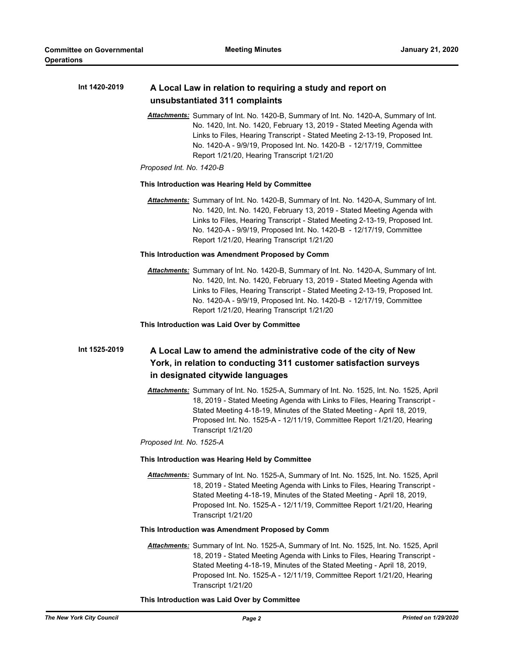| Int 1420-2019 | A Local Law in relation to requiring a study and report on<br>unsubstantiated 311 complaints                                                                                                                                                                                                                                                                                                   |
|---------------|------------------------------------------------------------------------------------------------------------------------------------------------------------------------------------------------------------------------------------------------------------------------------------------------------------------------------------------------------------------------------------------------|
|               | Attachments: Summary of Int. No. 1420-B, Summary of Int. No. 1420-A, Summary of Int.<br>No. 1420, Int. No. 1420, February 13, 2019 - Stated Meeting Agenda with<br>Links to Files, Hearing Transcript - Stated Meeting 2-13-19, Proposed Int.<br>No. 1420-A - 9/9/19, Proposed Int. No. 1420-B - 12/17/19, Committee<br>Report 1/21/20, Hearing Transcript 1/21/20<br>Proposed Int. No. 1420-B |
|               | This Introduction was Hearing Held by Committee                                                                                                                                                                                                                                                                                                                                                |
|               | Attachments: Summary of Int. No. 1420-B, Summary of Int. No. 1420-A, Summary of Int.<br>No. 1420, Int. No. 1420, February 13, 2019 - Stated Meeting Agenda with<br>Links to Files, Hearing Transcript - Stated Meeting 2-13-19, Proposed Int.<br>No. 1420-A - 9/9/19, Proposed Int. No. 1420-B - 12/17/19, Committee<br>Report 1/21/20, Hearing Transcript 1/21/20                             |
|               | This Introduction was Amendment Proposed by Comm                                                                                                                                                                                                                                                                                                                                               |
|               | Attachments: Summary of Int. No. 1420-B, Summary of Int. No. 1420-A, Summary of Int.<br>No. 1420, Int. No. 1420, February 13, 2019 - Stated Meeting Agenda with<br>Links to Files, Hearing Transcript - Stated Meeting 2-13-19, Proposed Int.<br>No. 1420-A - 9/9/19, Proposed Int. No. 1420-B - 12/17/19, Committee<br>Report 1/21/20, Hearing Transcript 1/21/20                             |
|               | This Introduction was Laid Over by Committee                                                                                                                                                                                                                                                                                                                                                   |
| Int 1525-2019 | A Local Law to amend the administrative code of the city of New<br>York, in relation to conducting 311 customer satisfaction surveys<br>in designated citywide languages                                                                                                                                                                                                                       |
|               | Attachments: Summary of Int. No. 1525-A, Summary of Int. No. 1525, Int. No. 1525, April<br>18, 2019 - Stated Meeting Agenda with Links to Files, Hearing Transcript -<br>Stated Meeting 4-18-19, Minutes of the Stated Meeting - April 18, 2019,<br>Proposed Int. No. 1525-A - 12/11/19, Committee Report 1/21/20, Hearing<br>Transcript 1/21/20<br>Proposed Int. No. 1525-A                   |
|               |                                                                                                                                                                                                                                                                                                                                                                                                |
|               | This Introduction was Hearing Held by Committee                                                                                                                                                                                                                                                                                                                                                |
|               | Attachments: Summary of Int. No. 1525-A, Summary of Int. No. 1525, Int. No. 1525, April<br>18, 2019 - Stated Meeting Agenda with Links to Files, Hearing Transcript -<br>Stated Meeting 4-18-19, Minutes of the Stated Meeting - April 18, 2019,<br>Proposed Int. No. 1525-A - 12/11/19, Committee Report 1/21/20, Hearing<br>Transcript 1/21/20                                               |
|               | This Introduction was Amendment Proposed by Comm                                                                                                                                                                                                                                                                                                                                               |
|               | Attachments: Summary of Int. No. 1525-A, Summary of Int. No. 1525, Int. No. 1525, April<br>18, 2019 - Stated Meeting Agenda with Links to Files, Hearing Transcript -<br>Stated Meeting 4-18-19, Minutes of the Stated Meeting - April 18, 2019,<br>Proposed Int. No. 1525-A - 12/11/19, Committee Report 1/21/20, Hearing<br>Transcript 1/21/20                                               |

## **This Introduction was Laid Over by Committee**